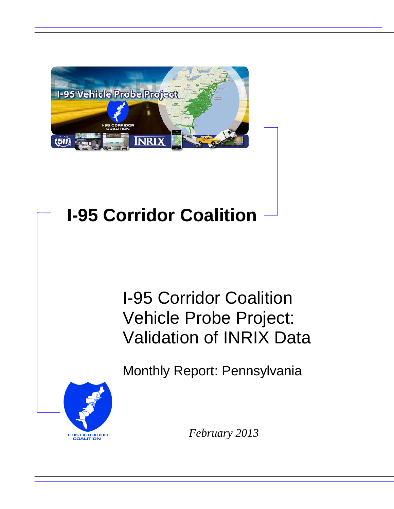

## **I-95 Corridor Coalition**

## I-95 Corridor Coalition Vehicle Probe Project: Validation of INRIX Data

Monthly Report: Pennsylvania



*February 2013*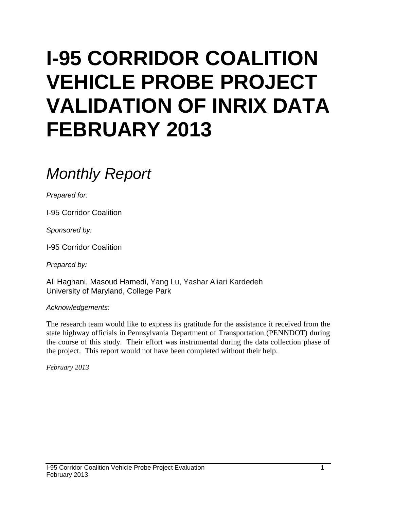# **I-95 CORRIDOR COALITION VEHICLE PROBE PROJECT VALIDATION OF INRIX DATA FEBRUARY 2013**

### *Monthly Report*

*Prepared for:*

I-95 Corridor Coalition

*Sponsored by:*

I-95 Corridor Coalition

*Prepared by:*

Ali Haghani, Masoud Hamedi, Yang Lu, Yashar Aliari Kardedeh University of Maryland, College Park

*Acknowledgements:*

The research team would like to express its gratitude for the assistance it received from the state highway officials in Pennsylvania Department of Transportation (PENNDOT) during the course of this study. Their effort was instrumental during the data collection phase of the project. This report would not have been completed without their help.

*February 2013*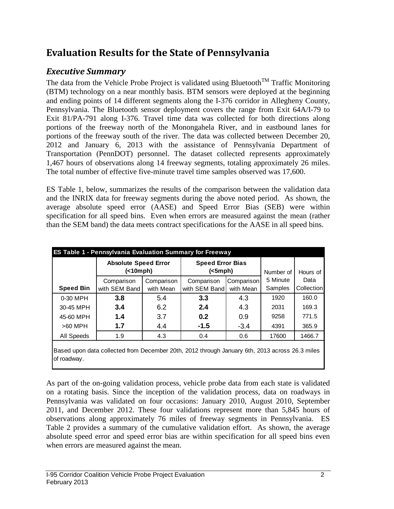### **Evaluation Results for the State of Pennsylvania**

#### *Executive Summary*

The data from the Vehicle Probe Project is validated using Bluetooth<sup>TM</sup> Traffic Monitoring (BTM) technology on a near monthly basis. BTM sensors were deployed at the beginning and ending points of 14 different segments along the I-376 corridor in Allegheny County, Pennsylvania. The Bluetooth sensor deployment covers the range from Exit 64A/I-79 to Exit 81/PA-791 along I-376. Travel time data was collected for both directions along portions of the freeway north of the Monongahela River, and in eastbound lanes for portions of the freeway south of the river. The data was collected between December 20, 2012 and January 6, 2013 with the assistance of Pennsylvania Department of Transportation (PennDOT) personnel. The dataset collected represents approximately 1,467 hours of observations along 14 freeway segments, totaling approximately 26 miles. The total number of effective five-minute travel time samples observed was 17,600.

ES Table 1, below, summarizes the results of the comparison between the validation data and the INRIX data for freeway segments during the above noted period. As shown, the average absolute speed error (AASE) and Speed Error Bias (SEB) were within specification for all speed bins. Even when errors are measured against the mean (rather than the SEM band) the data meets contract specifications for the AASE in all speed bins.

|                  |               | <b>Speed Error Bias</b><br><b>Absolute Speed Error</b><br>(<br>$(<5$ mph $)$ |               |            |          | Number of  | Hours of |
|------------------|---------------|------------------------------------------------------------------------------|---------------|------------|----------|------------|----------|
|                  | Comparison    | Comparison                                                                   | Comparison    | Comparison | 5 Minute | Data       |          |
| <b>Speed Bin</b> | with SEM Band | with Mean                                                                    | with SEM Band | with Mean  | Samples  | Collection |          |
| 0-30 MPH         | 3.8           | 5.4                                                                          | 3.3           | 4.3        | 1920     | 160.0      |          |
| 30-45 MPH        | 3.4           | 6.2                                                                          | 2.4           | 4.3        | 2031     | 169.3      |          |
| 45-60 MPH        | 1.4           | 3.7                                                                          | 0.2           | 0.9        | 9258     | 771.5      |          |
| $>60$ MPH        | 1.7           | 4.4                                                                          | $-1.5$        | $-3.4$     | 4391     | 365.9      |          |
| All Speeds       | 1.9           | 4.3                                                                          | 0.4           | 0.6        | 17600    | 1466.7     |          |

Based upon data collected from December 20th, 2012 through January 6th, 2013 across 26.3 miles of roadway.

As part of the on-going validation process, vehicle probe data from each state is validated on a rotating basis. Since the inception of the validation process, data on roadways in Pennsylvania was validated on four occasions: January 2010, August 2010, September 2011, and December 2012. These four validations represent more than 5,845 hours of observations along approximately 76 miles of freeway segments in Pennsylvania. ES Table 2 provides a summary of the cumulative validation effort. As shown, the average absolute speed error and speed error bias are within specification for all speed bins even when errors are measured against the mean.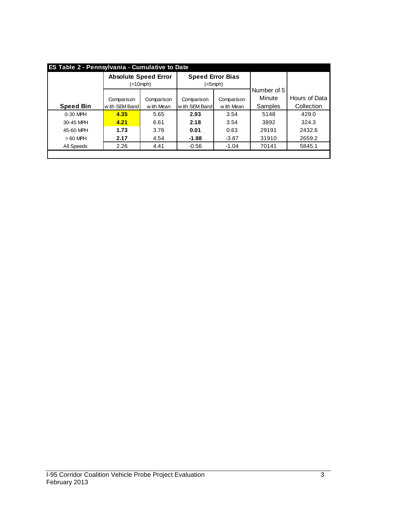|                  | <b>Absolute Speed Error</b><br>(<10mph) |            | <b>Speed Error Bias</b><br>$(<5$ mph $)$ |            |                       |               |  |
|------------------|-----------------------------------------|------------|------------------------------------------|------------|-----------------------|---------------|--|
|                  | Comparison                              | Comparison | Comparison                               | Comparison | Number of 5<br>Minute | Hours of Data |  |
| <b>Speed Bin</b> | w ith SEM Band<br>with Mean             |            | w ith SEM Band                           | w ith Mean |                       | Collection    |  |
| $0-30$ MPH       | 4.35                                    | 5.65       | 2.93                                     | 3.54       | 5148                  | 429.0         |  |
| 30-45 MPH        | 4.21                                    | 6.61       | 2.18                                     | 3.54       | 3892                  | 324.3         |  |
| 45-60 MPH        | 1.73                                    | 3.76       | 0.01                                     | 0.63       | 29191                 | 2432.6        |  |
| $>60$ MPH        | 2.17                                    | 4.54       | $-1.98$                                  | $-3.87$    | 31910                 | 2659.2        |  |
| All Speeds       | 2.26                                    | 4.41       | $-0.56$<br>$-1.04$                       |            | 70141                 | 5845.1        |  |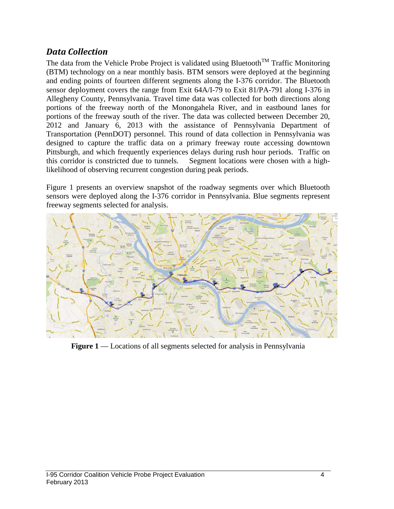#### *Data Collection*

The data from the Vehicle Probe Project is validated using Bluetooth<sup>TM</sup> Traffic Monitoring (BTM) technology on a near monthly basis. BTM sensors were deployed at the beginning and ending points of fourteen different segments along the I-376 corridor. The Bluetooth sensor deployment covers the range from Exit 64A/I-79 to Exit 81/PA-791 along I-376 in Allegheny County, Pennsylvania. Travel time data was collected for both directions along portions of the freeway north of the Monongahela River, and in eastbound lanes for portions of the freeway south of the river. The data was collected between December 20, 2012 and January 6, 2013 with the assistance of Pennsylvania Department of Transportation (PennDOT) personnel. This round of data collection in Pennsylvania was designed to capture the traffic data on a primary freeway route accessing downtown Pittsburgh, and which frequently experiences delays during rush hour periods. Traffic on this corridor is constricted due to tunnels. Segment locations were chosen with a highlikelihood of observing recurrent congestion during peak periods.

Figure 1 presents an overview snapshot of the roadway segments over which Bluetooth sensors were deployed along the I-376 corridor in Pennsylvania. Blue segments represent freeway segments selected for analysis.



**Figure 1** — Locations of all segments selected for analysis in Pennsylvania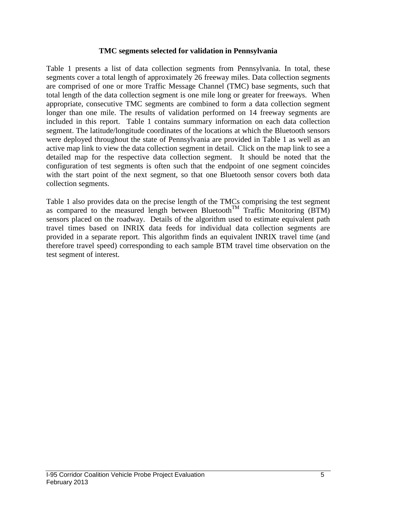#### **TMC segments selected for validation in Pennsylvania**

Table 1 presents a list of data collection segments from Pennsylvania. In total, these segments cover a total length of approximately 26 freeway miles. Data collection segments are comprised of one or more Traffic Message Channel (TMC) base segments, such that total length of the data collection segment is one mile long or greater for freeways. When appropriate, consecutive TMC segments are combined to form a data collection segment longer than one mile. The results of validation performed on 14 freeway segments are included in this report. Table 1 contains summary information on each data collection segment. The latitude/longitude coordinates of the locations at which the Bluetooth sensors were deployed throughout the state of Pennsylvania are provided in Table 1 as well as an active map link to view the data collection segment in detail. Click on the map link to see a detailed map for the respective data collection segment. It should be noted that the configuration of test segments is often such that the endpoint of one segment coincides with the start point of the next segment, so that one Bluetooth sensor covers both data collection segments.

Table 1 also provides data on the precise length of the TMCs comprising the test segment as compared to the measured length between Bluetooth<sup>TM</sup> Traffic Monitoring (BTM) sensors placed on the roadway. Details of the algorithm used to estimate equivalent path travel times based on INRIX data feeds for individual data collection segments are provided in a separate report. This algorithm finds an equivalent INRIX travel time (and therefore travel speed) corresponding to each sample BTM travel time observation on the test segment of interest.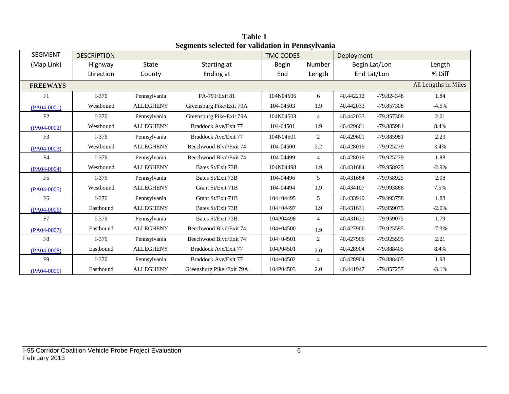| <b>SEGMENT</b>  | <b>DESCRIPTION</b> |                  |                             | <b>TMC CODES</b> |                | Deployment  |               |                      |
|-----------------|--------------------|------------------|-----------------------------|------------------|----------------|-------------|---------------|----------------------|
| (Map Link)      | Highway            | <b>State</b>     | Starting at                 | <b>Begin</b>     | Number         |             | Begin Lat/Lon | Length               |
|                 | Direction          | County           | Ending at                   | End              | Length         | End Lat/Lon |               | % Diff               |
| <b>FREEWAYS</b> |                    |                  |                             |                  |                |             |               | All Lengths in Miles |
| F1              | $I-376$            | Pennsylvania     | PA-791/Exit 81              | 104N04506        | 6              | 40.442212   | -79.824348    | 1.84                 |
| $(PA04-0001)$   | Westbound          | <b>ALLEGHENY</b> | Greensburg Pike/Exit 79A    | 104-04503        | 1.9            | 40.442033   | -79.857308    | $-4.5%$              |
| F2              | $I-376$            | Pennsylvania     | Greensburg Pike/Exit 79A    | 104N04503        | $\overline{4}$ | 40.442033   | $-79.857308$  | 2.01                 |
| $(PAO4-0002)$   | Westbound          | <b>ALLEGHENY</b> | Braddock Ave/Exit 77        | 104-04501        | 1.9            | 40.429601   | -79.885981    | 8.4%                 |
| F <sub>3</sub>  | $I-376$            | Pennsylvania     | Braddock Ave/Exit 77        | 104N04501        | 2              | 40.429601   | -79.885981    | 2.23                 |
| $(PA04-0003)$   | Westbound          | <b>ALLEGHENY</b> | Beechwood Blvd/Exit 74      | 104-04500        | 2.2            | 40.428019   | -79.925279    | 3.4%                 |
| F4              | $I-376$            | Pennsylvania     | Beechwood Blvd/Exit 74      | 104-04499        | $\overline{4}$ | 40.428019   | -79.925279    | 1.88                 |
| $(PA04-0004)$   | Westbound          | <b>ALLEGHENY</b> | Bates St/Exit 73B           | 104N04498        | 1.9            | 40.431684   | -79.958925    | $-2.9%$              |
| F <sub>5</sub>  | $I-376$            | Pennsylvania     | Bates St/Exit 73B           | 104-04496        | 5              | 40.431684   | -79.958925    | 2.08                 |
| $(PA04-0005)$   | Westbound          | <b>ALLEGHENY</b> | Grant St/Exit 71B           | 104-04494        | 1.9            | 40.434107   | -79.993888    | 7.5%                 |
| F <sub>6</sub>  | $I-376$            | Pennsylvania     | Grant St/Exit 71B           | $104 + 04495$    | 5              | 40.433949   | -79.993758    | 1.88                 |
| $(PA04-0006)$   | Eastbound          | <b>ALLEGHENY</b> | Bates St/Exit 73B           | $104 + 04497$    | 1.9            | 40.431631   | -79.959075    | $-2.0\%$             |
| F7              | $I-376$            | Pennsylvania     | Bates St/Exit 73B           | 104P04498        | $\overline{4}$ | 40.431631   | -79.959075    | 1.79                 |
| $(PA04-0007)$   | Eastbound          | <b>ALLEGHENY</b> | Beechwood Blyd/Exit 74      | $104 + 04500$    | 1.9            | 40.427906   | -79.925595    | $-7.3%$              |
| F8              | $I-376$            | Pennsylvania     | Beechwood Blvd/Exit 74      | $104 + 04501$    | 2              | 40.427906   | -79.925595    | 2.21                 |
| $(PA04-0008)$   | Eastbound          | <b>ALLEGHENY</b> | Braddock Ave/Exit 77        | 104P04501        | 2.0            | 40.428904   | -79.888405    | 8.4%                 |
| F <sub>9</sub>  | $I-376$            | Pennsylvania     | <b>Braddock Ave/Exit 77</b> | 104+04502        | $\overline{4}$ | 40.428904   | -79.888405    | 1.93                 |
| $(PA04-0009)$   | Eastbound          | <b>ALLEGHENY</b> | Greensburg Pike / Exit 79A  | 104P04503        | 2.0            | 40.441947   | -79.857257    | $-3.1%$              |

**Table 1 Segments selected for validation in Pennsylvania**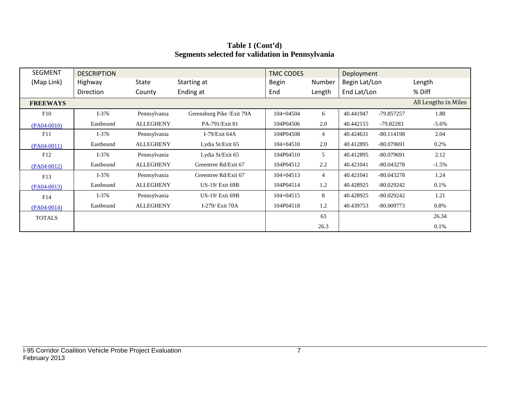| SEGMENT         | <b>DESCRIPTION</b> |                  |                            | <b>TMC CODES</b> |                | Deployment    |              |                      |
|-----------------|--------------------|------------------|----------------------------|------------------|----------------|---------------|--------------|----------------------|
| (Map Link)      | Highway            | <b>State</b>     | Starting at                | <b>Begin</b>     | Number         | Begin Lat/Lon |              | Length               |
|                 | Direction          | County           | Ending at                  | End              | Length         | End Lat/Lon   |              | % Diff               |
| <b>FREEWAYS</b> |                    |                  |                            |                  |                |               |              | All Lengths in Miles |
| F10             | $I-376$            | Pennsylvania     | Greensburg Pike / Exit 79A | $104 + 04504$    | 6              | 40.441947     | -79.857257   | 1.88                 |
| $(PA04-0010)$   | Eastbound          | <b>ALLEGHENY</b> | PA-791/Exit 81             | 104P04506        | 2.0            | 40.442155     | -79.82283    | $-5.6\%$             |
| F11             | $I-376$            | Pennsylvania     | I-79/Exit $64A$            | 104P04508        | $\overline{4}$ | 40.424631     | $-80.114198$ | 2.04                 |
| $(PAO4-0011)$   | Eastbound          | <b>ALLEGHENY</b> | Lydia St/Exit 65           | $104 + 04510$    | 2.0            | 40.412895     | $-80.079691$ | 0.2%                 |
| F12             | $I-376$            | Pennsylvania     | Lydia St/Exit 65           | 104P04510        | 5              | 40.412895     | $-80.079691$ | 2.12                 |
| $(PAO4-0012)$   | Eastbound          | <b>ALLEGHENY</b> | Greentree Rd/Exit 67       | 104P04512        | 2.2            | 40.421041     | $-80.043278$ | $-1.5\%$             |
| F13             | $I-376$            | Pennsylvania     | Greentree Rd/Exit 67       | $104 + 04513$    | $\overline{4}$ | 40.421041     | $-80.043278$ | 1.24                 |
| $(PA04-0013)$   | Eastbound          | <b>ALLEGHENY</b> | <b>US-19/ Exit 69B</b>     | 104P04514        | 1.2            | 40.428925     | $-80.029242$ | 0.1%                 |
| F14             | $I-376$            | Pennsylvania     | <b>US-19/ Exit 69B</b>     | $104 + 04515$    | 8              | 40.428925     | $-80.029242$ | 1.21                 |
| $(PA04-0014)$   | Eastbound          | <b>ALLEGHENY</b> | I-279/ Exit 70A            | 104P04518        | 1.2            | 40.439753     | $-80.009773$ | 0.8%                 |
| <b>TOTALS</b>   |                    |                  |                            |                  | 63             |               |              | 26.34                |
|                 |                    |                  |                            |                  | 26.3           |               |              | 0.1%                 |

**Table 1 (Cont'd) Segments selected for validation in Pennsylvania**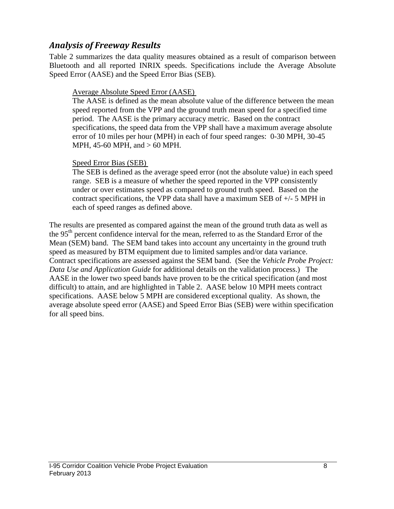#### *Analysis of Freeway Results*

Table 2 summarizes the data quality measures obtained as a result of comparison between Bluetooth and all reported INRIX speeds. Specifications include the Average Absolute Speed Error (AASE) and the Speed Error Bias (SEB).

#### Average Absolute Speed Error (AASE)

The AASE is defined as the mean absolute value of the difference between the mean speed reported from the VPP and the ground truth mean speed for a specified time period. The AASE is the primary accuracy metric. Based on the contract specifications, the speed data from the VPP shall have a maximum average absolute error of 10 miles per hour (MPH) in each of four speed ranges: 0-30 MPH, 30-45 MPH, 45-60 MPH, and > 60 MPH.

#### Speed Error Bias (SEB)

The SEB is defined as the average speed error (not the absolute value) in each speed range. SEB is a measure of whether the speed reported in the VPP consistently under or over estimates speed as compared to ground truth speed. Based on the contract specifications, the VPP data shall have a maximum SEB of +/- 5 MPH in each of speed ranges as defined above.

The results are presented as compared against the mean of the ground truth data as well as the 95<sup>th</sup> percent confidence interval for the mean, referred to as the Standard Error of the Mean (SEM) band. The SEM band takes into account any uncertainty in the ground truth speed as measured by BTM equipment due to limited samples and/or data variance. Contract specifications are assessed against the SEM band. (See the *Vehicle Probe Project: Data Use and Application Guide* for additional details on the validation process.) The AASE in the lower two speed bands have proven to be the critical specification (and most difficult) to attain, and are highlighted in Table 2. AASE below 10 MPH meets contract specifications. AASE below 5 MPH are considered exceptional quality. As shown, the average absolute speed error (AASE) and Speed Error Bias (SEB) were within specification for all speed bins.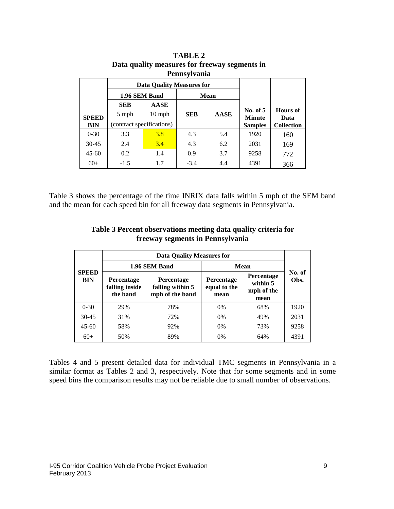|                           | <b>Pennsylvania</b>       |                                  |            |             |                             |                         |  |  |  |  |  |  |  |  |
|---------------------------|---------------------------|----------------------------------|------------|-------------|-----------------------------|-------------------------|--|--|--|--|--|--|--|--|
|                           |                           | <b>Data Quality Measures for</b> |            |             |                             |                         |  |  |  |  |  |  |  |  |
|                           | 1.96 SEM Band             |                                  |            | <b>Mean</b> |                             |                         |  |  |  |  |  |  |  |  |
| <b>AASE</b><br><b>SEB</b> |                           |                                  |            |             |                             |                         |  |  |  |  |  |  |  |  |
| <b>SPEED</b>              | 5 mph<br>$10 \text{ mph}$ |                                  | <b>SEB</b> | <b>AASE</b> | No. of $5$<br><b>Minute</b> | <b>Hours</b> of<br>Data |  |  |  |  |  |  |  |  |
| <b>BIN</b>                | (contract specifications) |                                  |            |             | <b>Samples</b>              | <b>Collection</b>       |  |  |  |  |  |  |  |  |
| $0 - 30$                  | 3.3                       | 3.8                              | 4.3        | 5.4         | 1920                        | 160                     |  |  |  |  |  |  |  |  |
| $30 - 45$                 | 2.4                       | 3.4                              | 4.3        | 6.2         | 2031                        | 169                     |  |  |  |  |  |  |  |  |
| $45 - 60$                 | 0.2                       | 1.4                              | 0.9        | 3.7         | 9258                        | 772                     |  |  |  |  |  |  |  |  |
| $60+$                     | $-1.5$                    | 1.7                              | $-3.4$     | 4.4         | 4391                        | 366                     |  |  |  |  |  |  |  |  |

**TABLE 2 Data quality measures for freeway segments in Pennsylvania**

Table 3 shows the percentage of the time INRIX data falls within 5 mph of the SEM band and the mean for each speed bin for all freeway data segments in Pennsylvania.

|                            | <b>Data Quality Measures for</b>                                                                            |               |                                           |                                                     |      |  |  |  |
|----------------------------|-------------------------------------------------------------------------------------------------------------|---------------|-------------------------------------------|-----------------------------------------------------|------|--|--|--|
|                            |                                                                                                             | 1.96 SEM Band | <b>Mean</b>                               | No. of                                              |      |  |  |  |
| <b>SPEED</b><br><b>BIN</b> | <b>Percentage</b><br><b>Percentage</b><br>falling inside<br>falling within 5<br>mph of the band<br>the band |               | <b>Percentage</b><br>equal to the<br>mean | <b>Percentage</b><br>within 5<br>mph of the<br>mean | Obs. |  |  |  |
| $0 - 30$                   | 29%                                                                                                         | 78%           | $0\%$                                     | 68%                                                 | 1920 |  |  |  |
| $30 - 45$                  | 31%                                                                                                         | 72%           | $0\%$                                     | 49%                                                 | 2031 |  |  |  |
| $45 - 60$                  | 58%                                                                                                         | 92%           | $0\%$                                     | 73%                                                 | 9258 |  |  |  |
| $60+$                      | 50%                                                                                                         | 89%           | $0\%$                                     | 64%                                                 | 4391 |  |  |  |

**Table 3 Percent observations meeting data quality criteria for freeway segments in Pennsylvania**

Tables 4 and 5 present detailed data for individual TMC segments in Pennsylvania in a similar format as Tables 2 and 3, respectively. Note that for some segments and in some speed bins the comparison results may not be reliable due to small number of observations.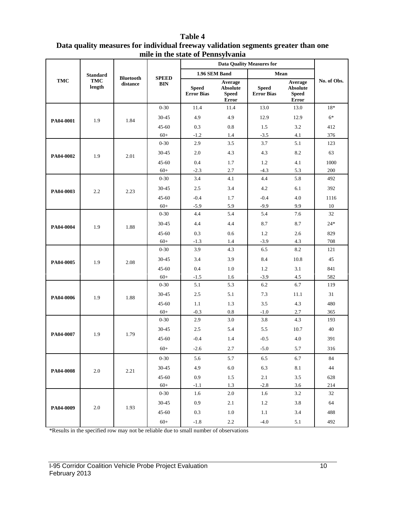#### **Table 4 Data quality measures for individual freeway validation segments greater than one mile in the state of Pennsylvania**

|            |                      |                              |                            |                                   |                                                     | <b>Data Quality Measures for</b>  |                                                     |             |
|------------|----------------------|------------------------------|----------------------------|-----------------------------------|-----------------------------------------------------|-----------------------------------|-----------------------------------------------------|-------------|
|            | <b>Standard</b>      |                              |                            | 1.96 SEM Band                     |                                                     | Mean                              |                                                     |             |
| <b>TMC</b> | <b>TMC</b><br>length | <b>Bluetooth</b><br>distance | <b>SPEED</b><br><b>BIN</b> | <b>Speed</b><br><b>Error Bias</b> | Average<br><b>Absolute</b><br><b>Speed</b><br>Error | <b>Speed</b><br><b>Error Bias</b> | Average<br><b>Absolute</b><br><b>Speed</b><br>Error | No. of Obs. |
|            |                      |                              | $0 - 30$                   | 11.4                              | 11.4                                                | 13.0                              | 13.0                                                | $18*$       |
| PA04-0001  | 1.9                  | 1.84                         | $30 - 45$                  | 4.9                               | 4.9                                                 | 12.9                              | 12.9                                                | $6*$        |
|            |                      |                              | $45 - 60$                  | 0.3                               | 0.8                                                 | 1.5                               | 3.2                                                 | 412         |
|            |                      |                              | $60+$                      | $-1.2$                            | 1.4                                                 | $-3.5$                            | 4.1                                                 | 376         |
|            |                      |                              | $0 - 30$                   | 2.9                               | 3.5                                                 | 3.7                               | 5.1                                                 | 123         |
| PA04-0002  | 1.9                  | 2.01                         | 30-45                      | 2.0                               | 4.3                                                 | 4.3                               | 8.2                                                 | 63          |
|            |                      |                              | $45 - 60$                  | 0.4                               | 1.7                                                 | 1.2                               | 4.1                                                 | 1000        |
|            |                      |                              | $60+$                      | $-2.3$                            | 2.7                                                 | $-4.3$                            | 5.3                                                 | 200         |
|            |                      |                              | $0 - 30$                   | 3.4                               | 4.1                                                 | 4.4                               | 5.8                                                 | 492         |
| PA04-0003  | 2.2                  | 2.23                         | 30-45                      | 2.5                               | 3.4                                                 | 4.2                               | 6.1                                                 | 392         |
|            |                      |                              | 45-60                      | $-0.4$                            | 1.7                                                 | $-0.4$                            | 4.0                                                 | 1116        |
|            |                      |                              | $60+$                      | $-5.9$                            | 5.9                                                 | $-9.9$                            | 9.9                                                 | 10          |
|            |                      |                              | $0 - 30$                   | 4.4                               | 5.4                                                 | 5.4                               | 7.6                                                 | 32          |
| PA04-0004  | 1.9                  | 1.88                         | 30-45                      | 4.4                               | 4.4                                                 | 8.7                               | 8.7                                                 | $24*$       |
|            |                      |                              | $45 - 60$                  | 0.3                               | 0.6                                                 | 1.2                               | 2.6                                                 | 829         |
|            |                      |                              | $60+$                      | $-1.3$                            | 1.4                                                 | $-3.9$                            | 4.3                                                 | 708         |
|            |                      |                              | $0 - 30$                   | 3.9                               | 4.3                                                 | 6.5                               | 8.2                                                 | 121         |
| PA04-0005  | 1.9                  | 2.08                         | 30-45                      | 3.4                               | 3.9                                                 | 8.4                               | 10.8                                                | 45          |
|            |                      |                              | $45 - 60$                  | 0.4                               | 1.0                                                 | 1.2                               | 3.1                                                 | 841         |
|            |                      |                              | $60+$                      | $-1.5$                            | 1.6                                                 | $-3.9$                            | 4.5                                                 | 582         |
|            |                      |                              | $0 - 30$                   | 5.1                               | 5.3                                                 | 6.2                               | 6.7                                                 | 119         |
| PA04-0006  | 1.9                  | 1.88                         | 30-45                      | 2.5                               | 5.1                                                 | 7.3                               | 11.1                                                | 31          |
|            |                      |                              | $45 - 60$                  | 1.1                               | 1.3                                                 | 3.5                               | 4.3                                                 | 480         |
|            |                      |                              | $60+$                      | $-0.3$                            | $0.8\,$                                             | $-1.0$                            | 2.7                                                 | 365         |
|            |                      |                              | $0 - 30$                   | 2.9                               | 3.0                                                 | 3.8                               | 4.3                                                 | 193         |
| PA04-0007  | 1.9                  | 1.79                         | $30 - 45$                  | 2.5                               | 5.4                                                 | 5.5                               | 10.7                                                | 40          |
|            |                      |                              | $45 - 60$                  | $-0.4$                            | 1.4                                                 | $-0.5$                            | 4.0                                                 | 391         |
|            |                      |                              | $60+$                      | $-2.6$                            | 2.7                                                 | $-5.0$                            | 5.7                                                 | 316         |
|            |                      |                              | $0 - 30$                   | 5.6                               | 5.7                                                 | 6.5                               | 6.7                                                 | 84          |
|            |                      |                              | $30 - 45$                  | 4.9                               | $6.0\,$                                             | 6.3                               | 8.1                                                 | 44          |
| PA04-0008  | 2.0                  | 2.21                         | $45 - 60$                  | 0.9                               | 1.5                                                 | 2.1                               | 3.5                                                 | 628         |
|            |                      |                              | $60+$                      | $-1.1$                            | 1.3                                                 | $-2.8$                            | 3.6                                                 | 214         |
|            |                      |                              | $0 - 30$                   | $1.6\,$                           | $2.0\,$                                             | 1.6                               | 3.2                                                 | 32          |
|            |                      |                              | $30 - 45$                  | 0.9                               | 2.1                                                 | 1.2                               | 3.8                                                 | 64          |
| PA04-0009  | $2.0\,$              | 1.93                         | 45-60                      | 0.3                               | $1.0\,$                                             | 1.1                               | 3.4                                                 | 488         |
|            |                      |                              | $60+$                      | $-1.8$                            | $2.2\,$                                             | $-4.0$                            | 5.1                                                 | 492         |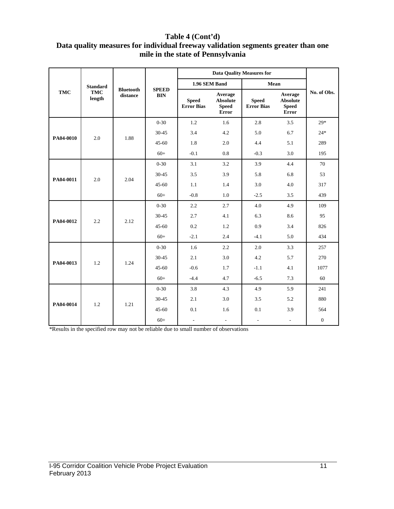#### **Table 4 (Cont'd) Data quality measures for individual freeway validation segments greater than one mile in the state of Pennsylvania**

|            |                      |                              |              |                                   |                                                            | <b>Data Quality Measures for</b>  |                                                            |                |
|------------|----------------------|------------------------------|--------------|-----------------------------------|------------------------------------------------------------|-----------------------------------|------------------------------------------------------------|----------------|
|            | <b>Standard</b>      |                              | <b>SPEED</b> | 1.96 SEM Band                     |                                                            | Mean                              |                                                            |                |
| <b>TMC</b> | <b>TMC</b><br>length | <b>Bluetooth</b><br>distance | <b>BIN</b>   | <b>Speed</b><br><b>Error Bias</b> | Average<br><b>Absolute</b><br><b>Speed</b><br><b>Error</b> | <b>Speed</b><br><b>Error Bias</b> | Average<br><b>Absolute</b><br><b>Speed</b><br><b>Error</b> | No. of Obs.    |
|            |                      |                              | $0 - 30$     | 1.2                               | 1.6                                                        | 2.8                               | 3.5                                                        | $29*$          |
| PA04-0010  | 2.0                  | 1.88                         | 30-45        | 3.4                               | 4.2                                                        | 5.0                               | 6.7                                                        | $24*$          |
|            |                      |                              | $45 - 60$    | 1.8                               | 2.0                                                        | 4.4                               | 5.1                                                        | 289            |
|            |                      |                              | $60+$        | $-0.1$                            | 0.8                                                        | $-0.3$                            | 3.0                                                        | 195            |
|            |                      |                              | $0 - 30$     | 3.1                               | 3.2                                                        | 3.9                               | 4.4                                                        | 70             |
| PA04-0011  | 2.0                  | 2.04                         | 30-45        | 3.5                               | 3.9                                                        | 5.8                               | 6.8                                                        | 53             |
|            |                      |                              | $45 - 60$    | 1.1                               | 1.4                                                        | 3.0                               | 4.0                                                        | 317            |
|            |                      |                              | $60+$        | $-0.8$                            | 1.0                                                        | $-2.5$                            | 3.5                                                        | 439            |
|            |                      | 2.12                         | $0 - 30$     | 2.2                               | 2.7                                                        | 4.0                               | 4.9                                                        | 109            |
| PA04-0012  | 2.2                  |                              | 30-45        | 2.7                               | 4.1                                                        | 6.3                               | 8.6                                                        | 95             |
|            |                      |                              | $45 - 60$    | 0.2                               | 1.2                                                        | 0.9                               | 3.4                                                        | 826            |
|            |                      |                              | $60+$        | $-2.1$                            | 2.4                                                        | $-4.1$                            | 5.0                                                        | 434            |
|            |                      |                              | $0 - 30$     | 1.6                               | 2.2                                                        | 2.0                               | 3.3                                                        | 257            |
| PA04-0013  | 1.2                  | 1.24                         | 30-45        | 2.1                               | 3.0                                                        | 4.2                               | 5.7                                                        | 270            |
|            |                      |                              | $45 - 60$    | $-0.6$                            | 1.7                                                        | $-1.1$                            | 4.1                                                        | 1077           |
|            |                      |                              | $60+$        | $-4.4$                            | 4.7                                                        | $-6.5$                            | 7.3                                                        | 60             |
|            |                      |                              | $0 - 30$     | 3.8                               | 4.3                                                        | 4.9                               | 5.9                                                        | 241            |
| PA04-0014  | 1.2                  | 1.21                         | 30-45        | 2.1                               | 3.0                                                        | 3.5                               | 5.2                                                        | 880            |
|            |                      |                              | $45 - 60$    | 0.1                               | 1.6                                                        | 0.1                               | 3.9                                                        | 564            |
|            |                      |                              | $60+$        | $\overline{\phantom{a}}$          | $\overline{\phantom{a}}$                                   | $\overline{\phantom{a}}$          | $\overline{\phantom{a}}$                                   | $\overline{0}$ |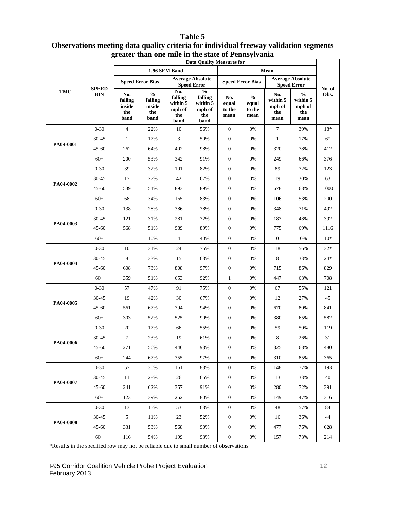#### **TMC SPEED BIN Data Quality Measures for No. of Obs. 1.96 SEM Band Mean Speed Error Bias Average Absolute Speed Error Speed Error Speed Error Bias Average Absolute Speed Error No. falling inside the band % falling inside the band No. falling within 5 mph of the band % falling within 5 mph of the band No. equal to the mean % equal to the mean No. within 5 mph of the mean % within 5 mph of the mean PA04-0001**  0-30 4 22% 10 56% 0 0% 7 39% 18\* 30-45 1 17% 3 50% 0 0% 1 17% 6\* 45-60 262 64% 402 98% 0 0% 320 78% 412 60+ 200 53% 342 91% 0 0% 249 66% 376 **PA04-0002** 0-30 39 32% 101 82% 0 0% 89 72% 123 30-45 17 27% 42 67% 0 0% 19 30% 63 45-60 539 54% 893 89% 0 0% 678 68% 1000 60+ 68 34% 165 83% 0 0% 106 53% 200 **PA04-0003** 0-30 138 28% 386 78% 0 0% 348 71% 492 30-45 121 31% 281 72% 0 0% 187 48% 392 45-60 568 51% 989 89% 0 0% 775 69% 1116  $60+$  1 10% 4 40% 0 0% 0 0% 10\* **PA04-0004** 0-30 10 31% 24 75% 0 0% 18 56% 32\* 30-45 8 33% 15 63% 0 0% 8 33% 24\* 45-60 608 73% 808 97% 0 0% 715 86% 829 60+ 359 51% 653 92% 1 0% 447 63% 708 **PA04-0005** 0-30 57 47% 91 75% 0 0% 67 55% 121 30-45 19 42% 30 67% 0 0% 12 27% 45 45-60 561 67% 794 94% 0 0% 670 80% 841 60+ 303 52% 525 90% 0 0% 380 65% 582 **PA04-0006** 0-30 20 17% 66 55% 0 0% 59 50% 119 30-45 7 23% 19 61% 0 0% 8 26% 31 45-60 271 56% 446 93% 0 0% 325 68% 480 60+ 244 67% 355 97% 0 0% 310 85% 365 **PA04-0007** 0-30 57 30% 161 83% 0 0% 148 77% 193 30-45 11 28% 26 65% 0 0% 13 33% 40 45-60 241 62% 357 91% 0 0% 280 72% 391 60+ 123 39% 252 80% 0 0% 149 47% 316 **PA04-0008** 0-30 13 15% 53 63% 0 0% 48 57% 84 30-45 5 11% 23 52% 0 0% 16 36% 44 45-60 331 53% 568 90% 0 0% 477 76% 628 60+ 116 54% 199 93% 0 0% 157 73% 214

#### **Table 5 Observations meeting data quality criteria for individual freeway validation segments greater than one mile in the state of Pennsylvania**